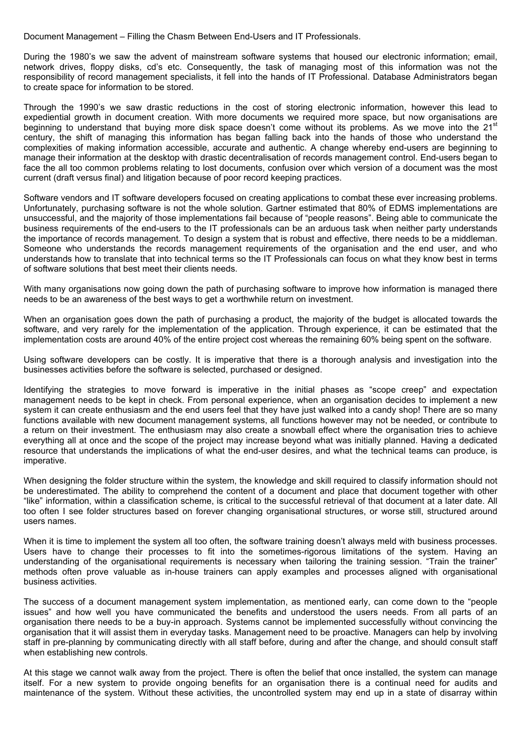Document Management – Filling the Chasm Between End-Users and IT Professionals.

During the 1980's we saw the advent of mainstream software systems that housed our electronic information; email, network drives, floppy disks, cd's etc. Consequently, the task of managing most of this information was not the responsibility of record management specialists, it fell into the hands of IT Professional. Database Administrators began to create space for information to be stored.

Through the 1990's we saw drastic reductions in the cost of storing electronic information, however this lead to expediential growth in document creation. With more documents we required more space, but now organisations are beginning to understand that buying more disk space doesn't come without its problems. As we move into the 21<sup>st</sup> century, the shift of managing this information has began falling back into the hands of those who understand the complexities of making information accessible, accurate and authentic. A change whereby end-users are beginning to manage their information at the desktop with drastic decentralisation of records management control. End-users began to face the all too common problems relating to lost documents, confusion over which version of a document was the most current (draft versus final) and litigation because of poor record keeping practices.

Software vendors and IT software developers focused on creating applications to combat these ever increasing problems. Unfortunately, purchasing software is not the whole solution. Gartner estimated that 80% of EDMS implementations are unsuccessful, and the majority of those implementations fail because of "people reasons". Being able to communicate the business requirements of the end-users to the IT professionals can be an arduous task when neither party understands the importance of records management. To design a system that is robust and effective, there needs to be a middleman. Someone who understands the records management requirements of the organisation and the end user, and who understands how to translate that into technical terms so the IT Professionals can focus on what they know best in terms of software solutions that best meet their clients needs.

With many organisations now going down the path of purchasing software to improve how information is managed there needs to be an awareness of the best ways to get a worthwhile return on investment.

When an organisation goes down the path of purchasing a product, the majority of the budget is allocated towards the software, and very rarely for the implementation of the application. Through experience, it can be estimated that the implementation costs are around 40% of the entire project cost whereas the remaining 60% being spent on the software.

Using software developers can be costly. It is imperative that there is a thorough analysis and investigation into the businesses activities before the software is selected, purchased or designed.

Identifying the strategies to move forward is imperative in the initial phases as "scope creep" and expectation management needs to be kept in check. From personal experience, when an organisation decides to implement a new system it can create enthusiasm and the end users feel that they have just walked into a candy shop! There are so many functions available with new document management systems, all functions however may not be needed, or contribute to a return on their investment. The enthusiasm may also create a snowball effect where the organisation tries to achieve everything all at once and the scope of the project may increase beyond what was initially planned. Having a dedicated resource that understands the implications of what the end-user desires, and what the technical teams can produce, is imperative.

When designing the folder structure within the system, the knowledge and skill required to classify information should not be underestimated. The ability to comprehend the content of a document and place that document together with other "like" information, within a classification scheme, is critical to the successful retrieval of that document at a later date. All too often I see folder structures based on forever changing organisational structures, or worse still, structured around users names.

When it is time to implement the system all too often, the software training doesn't always meld with business processes. Users have to change their processes to fit into the sometimes-rigorous limitations of the system. Having an understanding of the organisational requirements is necessary when tailoring the training session. "Train the trainer" methods often prove valuable as in-house trainers can apply examples and processes aligned with organisational business activities.

The success of a document management system implementation, as mentioned early, can come down to the "people issues" and how well you have communicated the benefits and understood the users needs. From all parts of an organisation there needs to be a buy-in approach. Systems cannot be implemented successfully without convincing the organisation that it will assist them in everyday tasks. Management need to be proactive. Managers can help by involving staff in pre-planning by communicating directly with all staff before, during and after the change, and should consult staff when establishing new controls.

At this stage we cannot walk away from the project. There is often the belief that once installed, the system can manage itself. For a new system to provide ongoing benefits for an organisation there is a continual need for audits and maintenance of the system. Without these activities, the uncontrolled system may end up in a state of disarray within